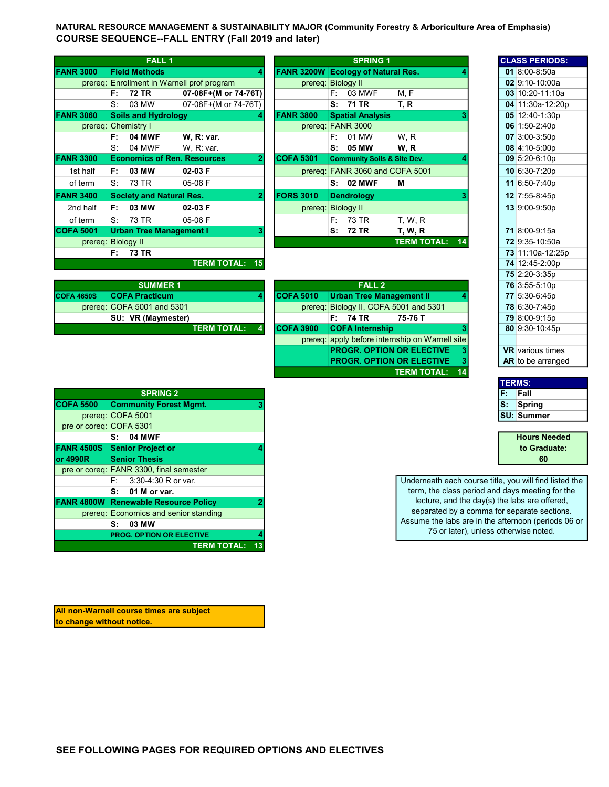NATURAL RESOURCE MANAGEMENT & SUSTAINABILITY MAJOR (Community Forestry & Arboriculture Area of Emphasis) COURSE SEQUENCE--FALL ENTRY (Fall 2019 and later)

|                    |    | <b>FALL 1</b>                   |                                            |              |                    |    | <b>SPRING 1</b>                        |                    |    |  | <b>CLASS PERIODS:</b>    |
|--------------------|----|---------------------------------|--------------------------------------------|--------------|--------------------|----|----------------------------------------|--------------------|----|--|--------------------------|
| <b>FANR 3000</b>   |    | <b>Field Methods</b>            |                                            | 4            | <b>FANR 3200W</b>  |    | <b>Ecology of Natural Res.</b>         |                    |    |  | 01 8:00-8:50a            |
|                    |    |                                 | prereq: Enrollment in Warnell prof program |              | prereq: Biology II |    |                                        |                    |    |  | 02 9:10-10:00a           |
|                    | F: | 72 TR                           | 07-08F+(M or 74-76T)                       |              |                    | F: | 03 MWF                                 | M.F                |    |  | 03 10:20-11:10a          |
|                    | S. | 03 MW                           | 07-08F+(M or 74-76T)                       |              |                    | s: | 71 TR                                  | T. R               |    |  | 04 11:30a-12:20p         |
| <b>FANR 3060</b>   |    | <b>Soils and Hydrology</b>      |                                            | 4            | <b>FANR 3800</b>   |    | <b>Spatial Analysis</b>                |                    |    |  | 05 12:40-1:30p           |
|                    |    | prereq: Chemistry I             |                                            |              |                    |    | prereq: FANR 3000                      |                    |    |  | 06 1:50-2:40p            |
|                    | F: | <b>04 MWF</b>                   | W. R: var.                                 |              |                    | F: | 01 MW                                  | W.R                |    |  | $07 \times 3:00 - 3:50p$ |
|                    | S: | 04 MWF                          | W, R: var.                                 |              |                    | S: | 05 MW                                  | W.R                |    |  | 08 4:10-5:00p            |
| <b>FANR 3300</b>   |    |                                 | <b>Economics of Ren. Resources</b>         | $\mathbf{2}$ | <b>COFA 5301</b>   |    | <b>Community Soils &amp; Site Dev.</b> |                    |    |  | 09 5:20-6:10p            |
| 1st half           | F: | 03 MW                           | $02-03$ F                                  |              |                    |    | prereq: FANR 3060 and COFA 5001        |                    |    |  | 10 6:30-7:20p            |
| of term            | S: | 73 TR                           | 05-06 F                                    |              |                    | s: | 02 MWF                                 | М                  |    |  | 11 6:50-7:40p            |
| <b>FANR 3400</b>   |    | <b>Society and Natural Res.</b> |                                            | $\mathbf{2}$ | <b>FORS 3010</b>   |    | <b>Dendrology</b>                      |                    |    |  | 12 7:55-8:45p            |
| 2nd half           | F: | 03 MW                           | 02-03 F                                    |              | prereq: Biology II |    |                                        |                    |    |  | 13 9:00-9:50p            |
| of term            | S. | 73 TR                           | 05-06 F                                    |              |                    | E: | 73 TR                                  | <b>T. W. R.</b>    |    |  |                          |
| <b>COFA 5001</b>   |    | <b>Urban Tree Management I</b>  |                                            | 3            |                    | S: | <b>72 TR</b>                           | T, W, R            |    |  | 71 8:00-9:15a            |
| prereq: Biology II |    |                                 |                                            |              |                    |    |                                        | <b>TERM TOTAL:</b> | 14 |  | 72 9:35-10:50a           |
|                    | F: | <b>73 TR</b>                    |                                            |              |                    |    |                                        |                    |    |  | 73 11:10a-12:25p         |
|                    |    |                                 | <b>TERM TOTAL:</b>                         | 15           |                    |    |                                        |                    |    |  | 74 12:45-2:00p           |

| <b>SUMMER 1</b>   |                              |  |  |                  | FALL <sub>2</sub>                      |  | 76 3:55-5:10p |
|-------------------|------------------------------|--|--|------------------|----------------------------------------|--|---------------|
| <b>COFA 4650S</b> | <b>COFA Practicum</b>        |  |  | <b>COFA 5010</b> | Urban Tree Management II               |  | 77 5:30-6:45p |
|                   | prereq: $COFA$ 5001 and 5301 |  |  |                  | prereg: Biology II, COFA 5001 and 5301 |  | 78 6:30-7:45p |
|                   | SU: VR (Maymester)           |  |  |                  | F: 74 TR<br>75-76 T                    |  | 79 8:00-9:15p |
|                   | <b>TERM TOTAL:</b>           |  |  | <b>COFA 3900</b> | <b>COFA Internship</b>                 |  | 80 9:30-10:45 |

| prereq: Chemistry I |      |                                    |                       |                | prereq: FANR 3000  |      |                        |               |                                                 |    |  | 06 1:50-2:40p           |
|---------------------|------|------------------------------------|-----------------------|----------------|--------------------|------|------------------------|---------------|-------------------------------------------------|----|--|-------------------------|
|                     | F:   | <b>04 MWF</b>                      | W. R: var.            |                |                    | F: . | 01 MW                  |               | W, R                                            |    |  | 07 3:00-3:50p           |
|                     | S:   | 04 MWF                             | W, R: var.            |                |                    | s:   | 05 MW                  |               | W, R                                            |    |  | 08 4:10-5:00p           |
| <b>IR 3300</b>      |      | <b>Economics of Ren. Resources</b> |                       | $\mathbf{2}$   | <b>COFA 5301</b>   |      |                        |               | <b>Community Soils &amp; Site Dev.</b>          |    |  | 09 5:20-6:10p           |
| 1st half            | F: I | 03 MW                              | $02-03$ F             |                |                    |      |                        |               | prereq: FANR 3060 and COFA 5001                 |    |  | 10 6:30-7:20p           |
| of term             | S.   | 73 TR                              | 05-06 F               |                |                    |      | <b>S: 02 MWF</b>       |               | м                                               |    |  | 11 6:50-7:40p           |
| <b>JR 3400</b>      |      | <b>Society and Natural Res.</b>    |                       | $\overline{2}$ | <b>FORS 3010</b>   |      | <b>Dendrology</b>      |               |                                                 |    |  | 12 7:55-8:45p           |
| 2nd half            | F:   | 03 MW                              | $02-03$ F             |                | prereq: Biology II |      |                        |               |                                                 |    |  | 13 9:00-9:50p           |
| of term             | S:   | 73 TR                              | 05-06 F               |                |                    | F: . | 73 TR                  |               | <b>T. W. R.</b>                                 |    |  |                         |
| FA 5001             |      | <b>Urban Tree Management I</b>     |                       | 3              |                    | S:   | 72 TR                  |               | T, W, R                                         |    |  | 71 8:00-9:15a           |
| prereq: Biology II  |      |                                    |                       |                |                    |      |                        |               | <b>TERM TOTAL:</b>                              | 14 |  | 72 9:35-10:50a          |
|                     | F:   | <b>73 TR</b>                       |                       |                |                    |      |                        |               |                                                 |    |  | 73 11:10a-12:25p        |
|                     |      |                                    | <b>TERM TOTAL: 15</b> |                |                    |      |                        |               |                                                 |    |  | 74 12:45-2:00p          |
|                     |      |                                    |                       |                |                    |      |                        |               |                                                 |    |  | 75 2:20-3:35p           |
|                     |      | <b>SUMMER 1</b>                    |                       |                |                    |      |                        | <b>FALL 2</b> |                                                 |    |  | 76 3:55-5:10p           |
| A 4650S             |      | <b>COFA Practicum</b>              |                       | 4              | <b>COFA 5010</b>   |      |                        |               | <b>Urban Tree Management II</b>                 |    |  | 77 5:30-6:45p           |
|                     |      | prereg: COFA 5001 and 5301         |                       |                | prereq:            |      |                        |               | Biology II, COFA 5001 and 5301                  |    |  | 78 6:30-7:45p           |
|                     |      | SU: VR (Maymester)                 |                       |                |                    |      | F: 74 TR               |               | 75-76 T                                         |    |  | 79 8:00-9:15p           |
|                     |      |                                    | <b>TERM TOTAL:</b>    |                | <b>COFA 3900</b>   |      | <b>COFA Internship</b> |               |                                                 |    |  | 80 9:30-10:45p          |
|                     |      |                                    |                       |                |                    |      |                        |               | prereg: apply before internship on Warnell site |    |  |                         |
|                     |      |                                    |                       |                |                    |      |                        |               | <b>PROGR. OPTION OR ELECTIVE</b>                |    |  | <b>VR</b> various times |

**PROGR. OPTION OR ELECTIVE** 3

TERM TOTAL: 14

| <b>CLASS PERIODS:</b>   |
|-------------------------|
| 01 8:00-8:50a           |
| 02 9:10-10:00a          |
| 03 10:20-11:10a         |
| 04 11:30a-12:20p        |
| 05 12:40-1:30p          |
| 06 1:50-2:40p           |
| 07 3:00-3:50p           |
| 08 4:10-5:00p           |
| 09 5:20-6:10p           |
| 10 6:30-7:20p           |
| 11 6:50-7:40p           |
| 12 7:55-8:45p           |
| 13 9:00-9:50p           |
|                         |
| <b>71</b> 8:00-9:15a    |
| 72 9:35-10:50a          |
| 73 11:10a-12:25p        |
| 74 12:45-2:00p          |
| 75 2:20-3:35p           |
| 76 3:55-5:10p           |
| 77 5:30-6:45p           |
| 78 6:30-7:45p           |
| 79 8:00-9:15p           |
| 80 9:30-10:45p          |
|                         |
| <b>VR</b> various times |
| AR to be arranged       |

| <b>TERMS:</b> |                   |
|---------------|-------------------|
|               | Fall              |
|               | Spring            |
|               | <b>SU: Summer</b> |
|               |                   |

| <b>Hours Needed</b> |
|---------------------|
| to Graduate:        |
| 60                  |

Underneath each course title, you will find listed the term, the class period and days meeting for the lecture, and the day(s) the labs are offered, separated by a comma for separate sections. Assume the labs are in the afternoon (periods 06 or 75 or later), unless otherwise noted.

|                         | <b>SPRING 2</b>                             |  |
|-------------------------|---------------------------------------------|--|
| <b>COFA 5500</b>        | <b>Community Forest Mgmt.</b>               |  |
|                         | prereq: COFA 5001                           |  |
| pre or coreg: COFA 5301 |                                             |  |
|                         | <b>04 MWF</b><br>S:                         |  |
| <b>FANR 4500S</b>       | <b>Senior Project or</b>                    |  |
| lor 4990R               | <b>Senior Thesis</b>                        |  |
|                         | pre or coreg: FANR 3300, final semester     |  |
|                         | 3:30-4:30 R or var.<br>F:                   |  |
|                         | 01 M or var.<br>s:                          |  |
|                         | <b>FANR 4800W Renewable Resource Policy</b> |  |
|                         | prereg: Economics and senior standing       |  |
|                         | 03 MW<br>s:                                 |  |
|                         | <b>PROG. OPTION OR ELECTIVE</b>             |  |
|                         | <b>TERM TOTAL:</b>                          |  |

All non-Warnell course times are subject to change without notice.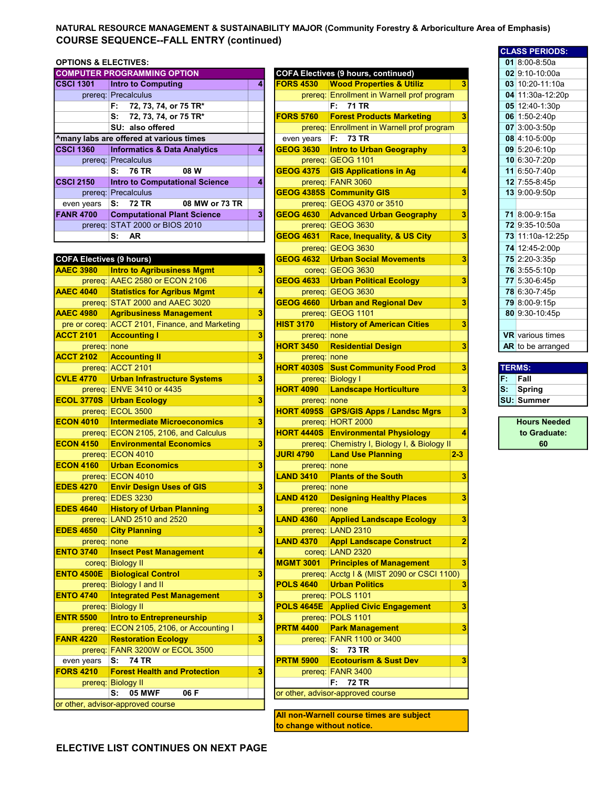## NATURAL RESOURCE MANAGEMENT & SUSTAINABILITY MAJOR (Community Forestry & Arboriculture Area of Emphasis) COURSE SEQUENCE--FALL ENTRY (continued)

## **OPTIONS & ELECTIVES:**

|                  | <b>COMPUTER PROGRAMMING OPTION</b>      |                | <b>COFA Electives (9 hours, continued)</b> |                                           |   |  |                 |
|------------------|-----------------------------------------|----------------|--------------------------------------------|-------------------------------------------|---|--|-----------------|
| <b>CSCI 1301</b> | <b>Intro to Computing</b>               | 4              | <b>FORS 4530</b>                           | <b>Wood Properties &amp; Utiliz</b>       |   |  | 03 10:20-11:10a |
|                  | prereq: Precalculus                     |                | prereq:                                    | Enrollment in Warnell prof program        |   |  | 04 11:30a-12:20 |
|                  | 72, 73, 74, or 75 TR*<br>F.             |                |                                            | F: 71 TR                                  |   |  | 05 12:40-1:30p  |
|                  | 72, 73, 74, or 75 TR*<br>s:             |                | <b>FORS 5760</b>                           | <b>Forest Products Marketing</b>          |   |  | 06 1:50-2:40p   |
|                  | SU: also offered                        |                | prereq:                                    | <b>Enrollment in Warnell prof program</b> |   |  | $07$ 3:00-3:50p |
|                  | Amany labs are offered at various times |                | even years                                 | F: 73 TR                                  |   |  | 08 4:10-5:00p   |
| <b>CSCI 1360</b> | <b>Informatics &amp; Data Analytics</b> | 4              | <b>GEOG 3630</b>                           | <b>Intro to Urban Geography</b>           |   |  | $09$ 5:20-6:10p |
|                  | prereg: Precalculus                     |                |                                            | prereg: GEOG 1101                         |   |  | 10 6:30-7:20p   |
|                  | S: 76 TR<br>08 W                        |                | <b>GEOG 4375</b>                           | <b>GIS Applications in Ag</b>             |   |  | 11 6:50-7:40p   |
| <b>CSCI 2150</b> | <b>Intro to Computational Science</b>   | 4              |                                            | prereq: FANR 3060                         |   |  | 12 7:55-8:45p   |
|                  | prereq: Precalculus                     |                |                                            | <b>GEOG 4385S Community GIS</b>           |   |  | 13 9:00-9:50p   |
| even years       | 08 MW or 73 TR<br>S: 72 TR              |                |                                            | prereg: GEOG 4370 or 3510                 |   |  |                 |
| <b>FANR 4700</b> | <b>Computational Plant Science</b>      | 3 <sup>1</sup> | <b>GEOG 4630</b>                           | <b>Advanced Urban Geography</b>           | 3 |  | 71 8:00-9:15a   |
|                  | prereq: STAT 2000 or BIOS 2010          |                |                                            | prereq: GEOG 3630                         |   |  | 72 9:35-10:50a  |
|                  | <b>AR</b><br>s.                         |                | <b>GEOG 4631</b>                           | <b>Race, Inequality, &amp; US City</b>    | 3 |  | 73 11:10a-12:25 |

| <b>COFA Electives (9 hours)</b> |                                                 |   | <b>GEOG 4632</b> | <b>Urban Social Movements</b>                | 3              |    | 75 2:20-3:35p           |
|---------------------------------|-------------------------------------------------|---|------------------|----------------------------------------------|----------------|----|-------------------------|
| <b>AAEC 3980</b>                | <b>Intro to Agribusiness Mgmt</b>               | 3 |                  | coreg: GEOG 3630                             |                |    | 76 3:55-5:10p           |
|                                 | prereq: AAEC 2580 or ECON 2106                  |   | <b>GEOG 4633</b> | <b>Urban Political Ecology</b>               | 3              |    | 77 5:30-6:45p           |
| <b>AAEC 4040</b>                | <b>Statistics for Agribus Mgmt</b>              | 4 |                  | prereq: GEOG 3630                            |                |    | 78 6:30-7:45p           |
|                                 | prereq: STAT 2000 and AAEC 3020                 |   | <b>GEOG 4660</b> | <b>Urban and Regional Dev</b>                | 3              |    | 79 8:00-9:15p           |
| <b>AAEC 4980</b>                | <b>Agribusiness Management</b>                  | 3 |                  | prereq: GEOG 1101                            |                |    | 80 9:30-10:45p          |
|                                 | pre or coreq: ACCT 2101, Finance, and Marketing |   | <b>HIST 3170</b> | <b>History of American Cities</b>            | 3              |    |                         |
| <b>ACCT 2101</b>                | <b>Accounting I</b>                             | 3 | prereq: none     |                                              |                |    | <b>VR</b> various times |
| prereq: none                    |                                                 |   | <b>HORT 3450</b> | <b>Residential Design</b>                    | 3              |    | AR to be arrange        |
| <b>ACCT 2102</b>                | <b>Accounting II</b>                            | 3 | prereq: none     |                                              |                |    |                         |
|                                 | prereq: ACCT 2101                               |   |                  | <b>HORT 4030S Sust Community Food Prod</b>   | 3              |    | <b>TERMS:</b>           |
| <b>CVLE 4770</b>                | <b>Urban Infrastructure Systems</b>             | 3 |                  | prereg: Biology I                            |                | F. | Fall                    |
|                                 | prereq: ENVE 3410 or 4435                       |   | <b>HORT 4090</b> | <b>Landscape Horticulture</b>                | 3              | S. | Spring                  |
| <b>ECOL 3770S</b>               | <b>Urban Ecology</b>                            | 3 | prereq: none     |                                              |                |    | <b>SU: Summer</b>       |
|                                 | prereq: ECOL 3500                               |   |                  | <b>HORT 4095S</b> GPS/GIS Apps / Landsc Mgrs | 3              |    |                         |
| <b>ECON 4010</b>                | <b>Intermediate Microeconomics</b>              | 3 |                  | prereq: HORT 2000                            |                |    | <b>Hours Neede</b>      |
|                                 | prereq: ECON 2105, 2106, and Calculus           |   |                  | <b>HORT 4440S Environmental Physiology</b>   | 4              |    | to Graduate             |
| <b>ECON 4150</b>                | <b>Environmental Economics</b>                  | 3 |                  | prereq: Chemistry I, Biology I, & Biology II |                |    | 60                      |
|                                 | prereq: ECON 4010                               |   | <b>JURI 4790</b> | <b>Land Use Planning</b>                     | $2 - 3$        |    |                         |
| <b>ECON 4160</b>                | <b>Urban Economics</b>                          | 3 | prereq: none     |                                              |                |    |                         |
|                                 | prereq: ECON 4010                               |   | <b>LAND 3410</b> | <b>Plants of the South</b>                   | 3              |    |                         |
| <b>EDES 4270</b>                | <b>Envir Design Uses of GIS</b>                 | 3 | prereq: none     |                                              |                |    |                         |
|                                 | prereq: EDES 3230                               |   | <b>LAND 4120</b> | <b>Designing Healthy Places</b>              | 3              |    |                         |
| <b>EDES 4640</b>                | <b>History of Urban Planning</b>                | 3 | prereq: none     |                                              |                |    |                         |
|                                 | prereq: LAND 2510 and 2520                      |   | <b>LAND 4360</b> | <b>Applied Landscape Ecology</b>             | 3              |    |                         |
| <b>EDES 4650</b>                | <b>City Planning</b>                            | 3 |                  | prereq: LAND 2310                            |                |    |                         |
| prereq: none                    |                                                 |   | <b>LAND 4370</b> | <b>Appl Landscape Construct</b>              | $\overline{2}$ |    |                         |
| <b>ENTO 3740</b>                | <b>Insect Pest Management</b>                   | 4 |                  | coreq: LAND 2320                             |                |    |                         |
|                                 | coreq: Biology II                               |   | <b>MGMT 3001</b> | <b>Principles of Management</b>              | 3              |    |                         |
| <b>ENTO 4500E</b>               | <b>Biological Control</b>                       | 3 |                  | prereq: Acctg I & (MIST 2090 or CSCI 1100)   |                |    |                         |
|                                 | prereq: Biology I and II                        |   | <b>POLS 4640</b> | <b>Urban Politics</b>                        | 3              |    |                         |
| <b>ENTO 4740</b>                | <b>Integrated Pest Management</b>               | 3 |                  | prereq: POLS 1101                            |                |    |                         |
|                                 | prereq: Biology II                              |   |                  | <b>POLS 4645E</b> Applied Civic Engagement   | 3              |    |                         |
| <b>ENTR 5500</b>                | <b>Intro to Entrepreneurship</b>                | 3 |                  | prereq: POLS 1101                            |                |    |                         |
|                                 | prereq: ECON 2105, 2106, or Accounting I        |   | <b>PRTM 4400</b> | <b>Park Management</b>                       | 3              |    |                         |
| <b>FANR 4220</b>                | <b>Restoration Ecology</b>                      | 3 |                  | prereq: FANR 1100 or 3400                    |                |    |                         |
|                                 | prereq: FANR 3200W or ECOL 3500                 |   |                  | S: 73 TR                                     |                |    |                         |
| even years                      | <b>74 TR</b><br>S:                              |   | <b>PRTM 5900</b> | <b>Ecotourism &amp; Sust Dev</b>             | 3              |    |                         |
| <b>FORS 4210</b>                | <b>Forest Health and Protection</b>             | 3 |                  | prereq: FANR 3400                            |                |    |                         |
|                                 | prereq: Biology II                              |   |                  | <b>72 TR</b><br>F: .                         |                |    |                         |
|                                 | 06 F<br><b>05 MWF</b><br>s:                     |   |                  | or other, advisor-approved course            |                |    |                         |
|                                 | or other, advisor-approved course               |   |                  |                                              |                |    |                         |
|                                 |                                                 |   |                  |                                              |                |    |                         |

| OPTIONS & ELECTIVES:            |                                                 |   |                                  |                                              |                |    | $01$ 8:00-8:50a         |
|---------------------------------|-------------------------------------------------|---|----------------------------------|----------------------------------------------|----------------|----|-------------------------|
|                                 | <b>COMPUTER PROGRAMMING OPTION</b>              |   |                                  | <b>COFA Electives (9 hours, continued)</b>   |                |    | $02$ 9:10-10:00a        |
| <b>CSCI 1301</b>                | <b>Intro to Computing</b>                       | 4 | <b>FORS 4530</b>                 | <b>Wood Properties &amp; Utiliz</b>          |                |    | 03 10:20-11:10a         |
|                                 | prereq: Precalculus                             |   |                                  | prereq: Enrollment in Warnell prof program   |                |    | 04 11:30a-12:20p        |
|                                 | 72, 73, 74, or 75 TR*<br>F:                     |   |                                  | F: 71 TR                                     |                |    | 05 12:40-1:30p          |
|                                 | 72, 73, 74, or 75 TR*<br>S۰                     |   | <b>FORS 5760</b>                 | <b>Forest Products Marketing</b>             | 3              |    | 06 1:50-2:40p           |
|                                 | SU: also offered                                |   |                                  | prereq: Enrollment in Warnell prof program   |                |    | 07 3:00-3:50p           |
|                                 | ^many labs are offered at various times         |   |                                  | F: 73 TR                                     |                |    | 08 4:10-5:00p           |
|                                 |                                                 |   | even years                       |                                              | 3              |    |                         |
| <b>CSCI 1360</b>                | <b>Informatics &amp; Data Analytics</b>         | 4 | <b>GEOG 3630</b>                 | <b>Intro to Urban Geography</b>              |                |    | 09 5:20-6:10p           |
|                                 | prereq: Precalculus                             |   |                                  | prereq: GEOG 1101                            |                |    | 10 6:30-7:20p           |
|                                 | S: 76 TR<br>08 W                                |   | <b>GEOG 4375</b>                 | <b>GIS Applications in Ag</b>                | 4              |    | 11 6:50-7:40p           |
| <b>CSCI 2150</b>                | <b>Intro to Computational Science</b>           | 4 |                                  | prereq: FANR 3060                            |                |    | 12 7:55-8:45p           |
|                                 | prereq: Precalculus                             |   |                                  | GEOG 4385S Community GIS                     | 3              |    | 13 9:00-9:50p           |
| even years                      | 08 MW or 73 TR<br>S: 72 TR                      |   |                                  | prereq: GEOG 4370 or 3510                    |                |    |                         |
| <b>FANR 4700</b>                | <b>Computational Plant Science</b>              | 3 | <b>GEOG 4630</b>                 | <b>Advanced Urban Geography</b>              | 3              |    | 71 8:00-9:15a           |
|                                 | prereq: STAT 2000 or BIOS 2010                  |   |                                  | prereq: GEOG 3630                            |                |    | 72 9:35-10:50a          |
|                                 | S: AR                                           |   | <b>GEOG 4631</b>                 | <b>Race, Inequality, &amp; US City</b>       | 3              |    | 73 11:10a-12:25p        |
|                                 |                                                 |   |                                  | prereq: GEOG 3630                            |                |    | 74 12:45-2:00p          |
| <b>COFA Electives (9 hours)</b> |                                                 |   | <b>GEOG 4632</b>                 | <b>Urban Social Movements</b>                | 3              |    | 75 2:20-3:35p           |
| <b>AAEC 3980</b>                | <b>Intro to Agribusiness Mgmt</b>               | 3 |                                  | coreq: GEOG 3630                             |                |    | 76 3:55-5:10p           |
|                                 | prereq: AAEC 2580 or ECON 2106                  |   | <b>GEOG 4633</b>                 | <b>Urban Political Ecology</b>               | 3              |    | 77 5:30-6:45p           |
| <b>AAEC 4040</b>                | <b>Statistics for Agribus Mgmt</b>              | 4 |                                  | prereq: GEOG 3630                            |                |    | 78 6:30-7:45p           |
|                                 | prereq: STAT 2000 and AAEC 3020                 |   | <b>GEOG 4660</b>                 | <b>Urban and Regional Dev</b>                | 3              |    | 79 8:00-9:15p           |
| <b>AAEC 4980</b>                | <b>Agribusiness Management</b>                  | 3 |                                  | prereq: GEOG 1101                            |                |    | 80 9:30-10:45p          |
|                                 | pre or coreq: ACCT 2101, Finance, and Marketing |   | <b>HIST 3170</b>                 | <b>History of American Cities</b>            | 3              |    |                         |
| <b>ACCT 2101</b>                | <b>Accounting I</b>                             | 3 |                                  |                                              |                |    | <b>VR</b> various times |
|                                 |                                                 |   | prereq: none<br><b>HORT 3450</b> | <b>Residential Design</b>                    | 3              |    | AR to be arranged       |
| prereq:   none                  |                                                 | 3 |                                  |                                              |                |    |                         |
| <b>ACCT 2102</b>                | <b>Accounting II</b>                            |   | prereq: none                     |                                              |                |    |                         |
|                                 | prereq: ACCT 2101                               |   |                                  | <b>HORT 4030S Sust Community Food Prod</b>   | 3              |    | <b>TERMS:</b>           |
| <b>CVLE 4770</b>                | <b>Urban Infrastructure Systems</b>             | 3 |                                  | prereq: Biology I                            |                | F. | Fall                    |
|                                 | prereq: ENVE 3410 or 4435                       |   | <b>HORT 4090</b>                 | <b>Landscape Horticulture</b>                | 3              | s: | <b>Spring</b>           |
| <b>ECOL 3770S</b>               | <b>Urban Ecology</b>                            | 3 | prereq: none                     |                                              |                |    | <b>SU: Summer</b>       |
|                                 | prereq: ECOL 3500                               |   | <b>HORT 4095S</b>                | <b>GPS/GIS Apps / Landsc Mgrs</b>            | 3              |    |                         |
| <b>ECON 4010</b>                | <b>Intermediate Microeconomics</b>              | 3 |                                  | prereq: HORT 2000                            |                |    | <b>Hours Needed</b>     |
|                                 | prereq: ECON 2105, 2106, and Calculus           |   |                                  | <b>HORT 4440S Environmental Physiology</b>   | 4              |    | to Graduate:            |
| <b>ECON 4150</b>                | <b>Environmental Economics</b>                  | 3 |                                  | prereq: Chemistry I, Biology I, & Biology II |                |    | 60                      |
|                                 | prereq: ECON 4010                               |   | <b>JURI 4790</b>                 | <b>Land Use Planning</b>                     | $2 - 3$        |    |                         |
| <b>ECON 4160</b>                | <b>Urban Economics</b>                          | 3 | prereq: none                     |                                              |                |    |                         |
|                                 | prereq: ECON 4010                               |   | <b>LAND 3410</b>                 | <b>Plants of the South</b>                   | 3              |    |                         |
| <b>EDES 4270</b>                | <b>Envir Design Uses of GIS</b>                 | 3 | prereq: none                     |                                              |                |    |                         |
|                                 | prereq: EDES 3230                               |   | <b>LAND 4120</b>                 | <b>Designing Healthy Places</b>              | 3              |    |                         |
| <b>EDES 4640</b>                | <b>History of Urban Planning</b>                | з | prereq: none                     |                                              |                |    |                         |
|                                 | prereq: LAND 2510 and 2520                      |   | <b>LAND 4360</b>                 | <b>Applied Landscape Ecology</b>             | 3              |    |                         |
| <b>EDES 4650</b>                | <b>City Planning</b>                            | 3 |                                  | prereq: LAND 2310                            |                |    |                         |
| prereq: none                    |                                                 |   | <b>LAND 4370</b>                 | <b>Appl Landscape Construct</b>              | $\overline{2}$ |    |                         |
| <b>ENTO 3740</b>                | <b>Insect Pest Management</b>                   | 4 |                                  | coreq: LAND 2320                             |                |    |                         |
|                                 | coreq: Biology II                               |   | <b>MGMT 3001</b>                 | <b>Principles of Management</b>              | 3              |    |                         |
| <b>ENTO 4500E</b>               | <b>Biological Control</b>                       | 3 |                                  | prereq: Acctg I & (MIST 2090 or CSCI 1100)   |                |    |                         |
|                                 | prereq: Biology I and II                        |   | <b>POLS 4640</b>                 | <b>Urban Politics</b>                        | 3              |    |                         |
| <b>ENTO 4740</b>                | <b>Integrated Pest Management</b>               | 3 |                                  | prereq: POLS 1101                            |                |    |                         |
|                                 | prereq: Biology II                              |   |                                  | <b>POLS 4645E</b> Applied Civic Engagement   | 3              |    |                         |
| <b>ENTR 5500</b>                | <b>Intro to Entrepreneurship</b>                | 3 |                                  | prereq: POLS 1101                            |                |    |                         |
|                                 | prereq: ECON 2105, 2106, or Accounting I        |   | <b>PRTM 4400</b>                 |                                              | 3              |    |                         |
|                                 |                                                 |   |                                  | <b>Park Management</b>                       |                |    |                         |
| <b>FANR 4220</b>                | <b>Restoration Ecology</b>                      | 3 |                                  | prereq: FANR 1100 or 3400                    |                |    |                         |
|                                 | prereq: FANR 3200W or ECOL 3500                 |   |                                  | S: 73 TR                                     |                |    |                         |
| even years                      | S: 74 TR                                        |   | <b>PRTM 5900</b>                 | <b>Ecotourism &amp; Sust Dev</b>             | 3              |    |                         |
| <b>FORS 4210</b>                | <b>Forest Health and Protection</b>             | 3 |                                  | prereq: FANR 3400                            |                |    |                         |
|                                 | prereq: Biology II                              |   |                                  | F: 72 TR                                     |                |    |                         |
|                                 | <b>05 MWF</b><br>06 F<br>s:                     |   |                                  | or other, advisor-approved course            |                |    |                         |
|                                 | or other, advisor-approved course               |   |                                  |                                              |                |    |                         |

All non-Warnell course times are subject to change without notice.

| <b>CLASS PERIODS:</b>   |
|-------------------------|
| $01 \, 8:00 - 8:50a$    |
| 02 9:10-10:00a          |
| 03 10:20-11:10a         |
| 04 11:30a-12:20p        |
| 05 12:40-1:30p          |
| 06 1:50-2:40p           |
| 07 3:00-3:50p           |
| 08 4:10-5:00p           |
| 09 5:20-6:10p           |
| 10 6:30-7:20p           |
| 11 6:50-7:40p           |
| 12 7:55-8:45p           |
| 13 9:00-9:50p           |
|                         |
| 71 8:00-9:15a           |
| 72 9:35-10:50a          |
| 73 11:10a-12:25p        |
| 74 12:45-2:00p          |
| 75 2:20-3:35p           |
| 76 3:55-5:10p           |
| 77 5:30-6:45p           |
| 78 6:30-7:45p           |
| 79 8:00-9:15p           |
| 80 9:30-10:45p          |
|                         |
| <b>VR</b> various times |
| AR to be arranged       |

| <b>TERMS:</b> |                   |  |  |  |  |
|---------------|-------------------|--|--|--|--|
| F.            | Fall              |  |  |  |  |
| s:            | Spring            |  |  |  |  |
|               | <b>SU: Summer</b> |  |  |  |  |
|               |                   |  |  |  |  |

Hours Needed to Graduate: 60